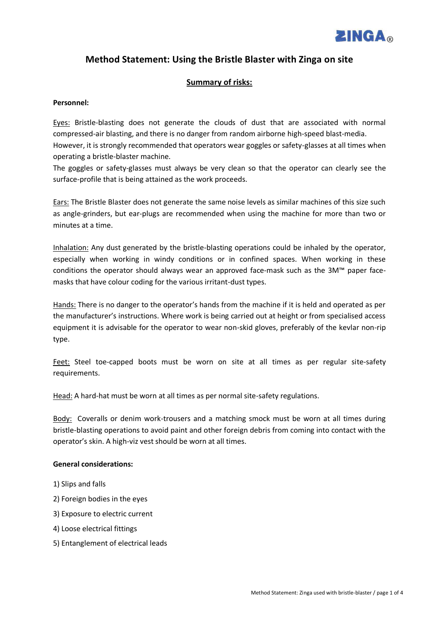

# Method Statement: Using the Bristle Blaster with Zinga on site

## **Summary of risks:**

### Personnel:

Eyes: Bristle-blasting does not generate the clouds of dust that are associated with normal compressed-air blasting, and there is no danger from random airborne high-speed blast-media. However, it is strongly recommended that operators wear goggles or safety-glasses at all times when operating a bristle-blaster machine.

The goggles or safety-glasses must always be very clean so that the operator can clearly see the surface-profile that is being attained as the work proceeds.

Ears: The Bristle Blaster does not generate the same noise levels as similar machines of this size such as angle-grinders, but ear-plugs are recommended when using the machine for more than two or minutes at a time.

Inhalation: Any dust generated by the bristle-blasting operations could be inhaled by the operator, especially when working in windy conditions or in confined spaces. When working in these conditions the operator should always wear an approved face-mask such as the 3M™ paper facemasks that have colour coding for the various irritant-dust types.

Hands: There is no danger to the operator's hands from the machine if it is held and operated as per the manufacturer's instructions. Where work is being carried out at height or from specialised access equipment it is advisable for the operator to wear non-skid gloves, preferably of the kevlar non-rip type.

Feet: Steel toe-capped boots must be worn on site at all times as per regular site-safety requirements.

Head: A hard-hat must be worn at all times as per normal site-safety regulations.

Body: Coveralls or denim work-trousers and a matching smock must be worn at all times during bristle-blasting operations to avoid paint and other foreign debris from coming into contact with the operator's skin. A high-viz vest should be worn at all times.

### **General considerations:**

- 1) Slips and falls
- 2) Foreign bodies in the eyes
- 3) Exposure to electric current
- 4) Loose electrical fittings
- 5) Entanglement of electrical leads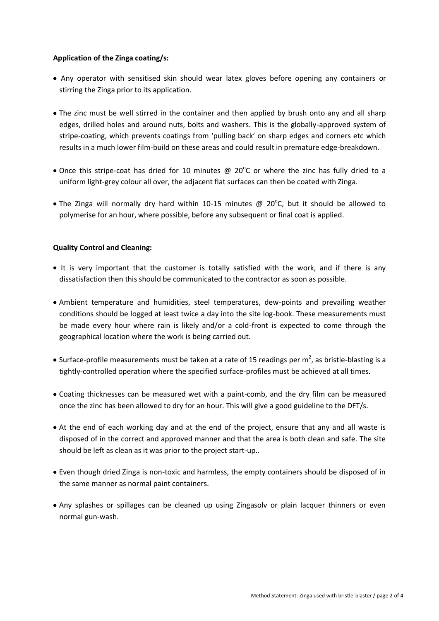### **Application of the Zinga coating/s:**

- Any operator with sensitised skin should wear latex gloves before opening any containers or stirring the Zinga prior to its application.
- The zinc must be well stirred in the container and then applied by brush onto any and all sharp edges, drilled holes and around nuts, bolts and washers. This is the globally-approved system of stripe-coating, which prevents coatings from 'pulling back' on sharp edges and corners etc which results in a much lower film-build on these areas and could result in premature edge-breakdown.
- Once this stripe-coat has dried for 10 minutes  $\omega$  20°C or where the zinc has fully dried to a uniform light-grey colour all over, the adjacent flat surfaces can then be coated with Zinga.
- The Zinga will normally dry hard within 10-15 minutes @ 20 $^{\circ}$ C, but it should be allowed to polymerise for an hour, where possible, before any subsequent or final coat is applied.

### **Quality Control and Cleaning:**

- It is very important that the customer is totally satisfied with the work, and if there is any dissatisfaction then this should be communicated to the contractor as soon as possible.
- Ambient temperature and humidities, steel temperatures, dew-points and prevailing weather conditions should be logged at least twice a day into the site log-book. These measurements must be made every hour where rain is likely and/or a cold-front is expected to come through the geographical location where the work is being carried out.
- Surface-profile measurements must be taken at a rate of 15 readings per m<sup>2</sup>, as bristle-blasting is a tightly-controlled operation where the specified surface-profiles must be achieved at all times.
- Coating thicknesses can be measured wet with a paint-comb, and the dry film can be measured once the zinc has been allowed to dry for an hour. This will give a good guideline to the DFT/s.
- At the end of each working day and at the end of the project, ensure that any and all waste is disposed of in the correct and approved manner and that the area is both clean and safe. The site should be left as clean as it was prior to the project start-up..
- Even though dried Zinga is non-toxic and harmless, the empty containers should be disposed of in the same manner as normal paint containers.
- Any splashes or spillages can be cleaned up using Zingasolv or plain lacquer thinners or even normal gun-wash.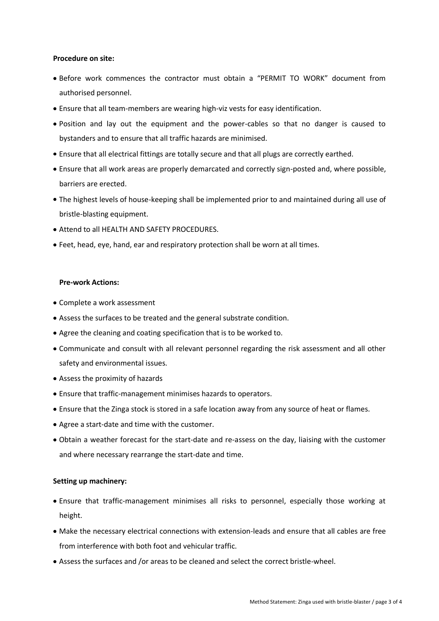#### **Procedure on site:**

- $\bullet$  Before work commences the contractor must obtain a "PERMIT TO WORK" document from authorised personnel.
- Ensure that all team-members are wearing high-viz vests for easy identification.
- Position and lay out the equipment and the power-cables so that no danger is caused to bystanders and to ensure that all traffic hazards are minimised.
- Ensure that all electrical fittings are totally secure and that all plugs are correctly earthed.
- Ensure that all work areas are properly demarcated and correctly sign-posted and, where possible, barriers are erected.
- The highest levels of house-keeping shall be implemented prior to and maintained during all use of bristle-blasting equipment.
- Attend to all HEALTH AND SAFETY PROCEDURES.
- Feet, head, eye, hand, ear and respiratory protection shall be worn at all times.

### **Pre-work Actions:**

- Complete a work assessment
- Assess the surfaces to be treated and the general substrate condition.
- Agree the cleaning and coating specification that is to be worked to.
- Communicate and consult with all relevant personnel regarding the risk assessment and all other safety and environmental issues.
- Assess the proximity of hazards
- Ensure that traffic-management minimises hazards to operators.
- Ensure that the Zinga stock is stored in a safe location away from any source of heat or flames.
- Agree a start-date and time with the customer.
- Obtain a weather forecast for the start-date and re-assess on the day, liaising with the customer and where necessary rearrange the start-date and time.

### **Setting up machinery:**

- Ensure that traffic-management minimises all risks to personnel, especially those working at height.
- Make the necessary electrical connections with extension-leads and ensure that all cables are free from interference with both foot and vehicular traffic.
- Assess the surfaces and /or areas to be cleaned and select the correct bristle-wheel.